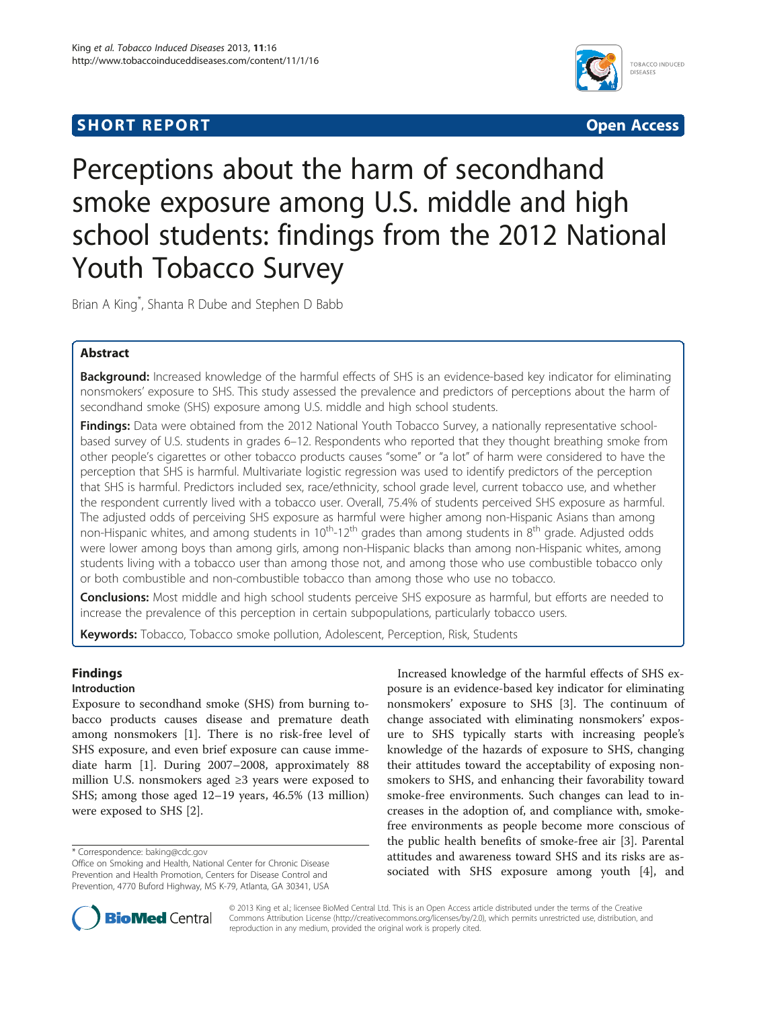# **SHORT REPORT SHORT CONSUMING THE SHORT CONSUMING THE SHORT CONSUMING THE SHORT CONSUMING THE SHORT CONSUMING THE SHORT CONSUMING THE SHORT CONSUMING THE SHORT CONSUMING THE SHORT CONSUMING THE SHORT CONSUMING THE SHORT**



# Perceptions about the harm of secondhand smoke exposure among U.S. middle and high school students: findings from the 2012 National Youth Tobacco Survey

Brian A King\* , Shanta R Dube and Stephen D Babb

## Abstract

**Background:** Increased knowledge of the harmful effects of SHS is an evidence-based key indicator for eliminating nonsmokers' exposure to SHS. This study assessed the prevalence and predictors of perceptions about the harm of secondhand smoke (SHS) exposure among U.S. middle and high school students.

Findings: Data were obtained from the 2012 National Youth Tobacco Survey, a nationally representative schoolbased survey of U.S. students in grades 6–12. Respondents who reported that they thought breathing smoke from other people's cigarettes or other tobacco products causes "some" or "a lot" of harm were considered to have the perception that SHS is harmful. Multivariate logistic regression was used to identify predictors of the perception that SHS is harmful. Predictors included sex, race/ethnicity, school grade level, current tobacco use, and whether the respondent currently lived with a tobacco user. Overall, 75.4% of students perceived SHS exposure as harmful. The adjusted odds of perceiving SHS exposure as harmful were higher among non-Hispanic Asians than among non-Hispanic whites, and among students in  $10^{th}$ -12<sup>th</sup> grades than among students in  $8^{th}$  grade. Adjusted odds were lower among boys than among girls, among non-Hispanic blacks than among non-Hispanic whites, among students living with a tobacco user than among those not, and among those who use combustible tobacco only or both combustible and non-combustible tobacco than among those who use no tobacco.

**Conclusions:** Most middle and high school students perceive SHS exposure as harmful, but efforts are needed to increase the prevalence of this perception in certain subpopulations, particularly tobacco users.

Keywords: Tobacco, Tobacco smoke pollution, Adolescent, Perception, Risk, Students

## Findings

## Introduction

Exposure to secondhand smoke (SHS) from burning tobacco products causes disease and premature death among nonsmokers [[1\]](#page-4-0). There is no risk-free level of SHS exposure, and even brief exposure can cause immediate harm [[1\]](#page-4-0). During 2007–2008, approximately 88 million U.S. nonsmokers aged ≥3 years were exposed to SHS; among those aged 12–19 years, 46.5% (13 million) were exposed to SHS [[2\]](#page-4-0).

Increased knowledge of the harmful effects of SHS exposure is an evidence-based key indicator for eliminating nonsmokers' exposure to SHS [\[3](#page-4-0)]. The continuum of change associated with eliminating nonsmokers' exposure to SHS typically starts with increasing people's knowledge of the hazards of exposure to SHS, changing their attitudes toward the acceptability of exposing nonsmokers to SHS, and enhancing their favorability toward smoke-free environments. Such changes can lead to increases in the adoption of, and compliance with, smokefree environments as people become more conscious of the public health benefits of smoke-free air [\[3](#page-4-0)]. Parental attitudes and awareness toward SHS and its risks are associated with SHS exposure among youth [\[4](#page-4-0)], and



© 2013 King et al.; licensee BioMed Central Ltd. This is an Open Access article distributed under the terms of the Creative Commons Attribution License [\(http://creativecommons.org/licenses/by/2.0\)](http://creativecommons.org/licenses/by/2.0), which permits unrestricted use, distribution, and reproduction in any medium, provided the original work is properly cited.

<sup>\*</sup> Correspondence: [baking@cdc.gov](mailto:baking@cdc.gov)

Office on Smoking and Health, National Center for Chronic Disease Prevention and Health Promotion, Centers for Disease Control and Prevention, 4770 Buford Highway, MS K-79, Atlanta, GA 30341, USA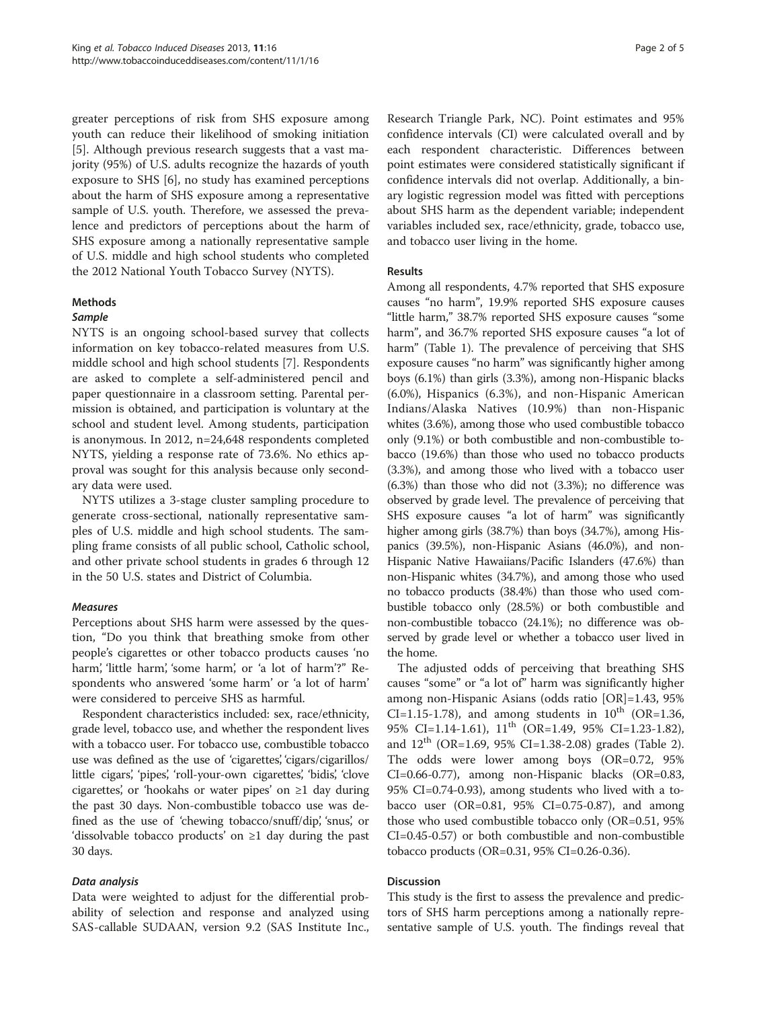greater perceptions of risk from SHS exposure among youth can reduce their likelihood of smoking initiation [[5\]](#page-4-0). Although previous research suggests that a vast majority (95%) of U.S. adults recognize the hazards of youth exposure to SHS [[6\]](#page-4-0), no study has examined perceptions about the harm of SHS exposure among a representative sample of U.S. youth. Therefore, we assessed the prevalence and predictors of perceptions about the harm of SHS exposure among a nationally representative sample of U.S. middle and high school students who completed the 2012 National Youth Tobacco Survey (NYTS).

#### Methods

#### Sample

NYTS is an ongoing school-based survey that collects information on key tobacco-related measures from U.S. middle school and high school students [\[7](#page-4-0)]. Respondents are asked to complete a self-administered pencil and paper questionnaire in a classroom setting. Parental permission is obtained, and participation is voluntary at the school and student level. Among students, participation is anonymous. In 2012, n=24,648 respondents completed NYTS, yielding a response rate of 73.6%. No ethics approval was sought for this analysis because only secondary data were used.

NYTS utilizes a 3-stage cluster sampling procedure to generate cross-sectional, nationally representative samples of U.S. middle and high school students. The sampling frame consists of all public school, Catholic school, and other private school students in grades 6 through 12 in the 50 U.S. states and District of Columbia.

## Measures

Perceptions about SHS harm were assessed by the question, "Do you think that breathing smoke from other people's cigarettes or other tobacco products causes 'no harm', 'little harm', 'some harm', or 'a lot of harm'?" Respondents who answered 'some harm' or 'a lot of harm' were considered to perceive SHS as harmful.

Respondent characteristics included: sex, race/ethnicity, grade level, tobacco use, and whether the respondent lives with a tobacco user. For tobacco use, combustible tobacco use was defined as the use of 'cigarettes', 'cigars/cigarillos/ little cigars', 'pipes', 'roll-your-own cigarettes', 'bidis', 'clove cigarettes', or 'hookahs or water pipes' on ≥1 day during the past 30 days. Non-combustible tobacco use was defined as the use of 'chewing tobacco/snuff/dip', 'snus', or 'dissolvable tobacco products' on ≥1 day during the past 30 days.

## Data analysis

Data were weighted to adjust for the differential probability of selection and response and analyzed using SAS-callable SUDAAN, version 9.2 (SAS Institute Inc., Research Triangle Park, NC). Point estimates and 95% confidence intervals (CI) were calculated overall and by each respondent characteristic. Differences between point estimates were considered statistically significant if confidence intervals did not overlap. Additionally, a binary logistic regression model was fitted with perceptions about SHS harm as the dependent variable; independent variables included sex, race/ethnicity, grade, tobacco use, and tobacco user living in the home.

## Results

Among all respondents, 4.7% reported that SHS exposure causes "no harm", 19.9% reported SHS exposure causes "little harm," 38.7% reported SHS exposure causes "some harm", and 36.7% reported SHS exposure causes "a lot of harm" (Table [1\)](#page-2-0). The prevalence of perceiving that SHS exposure causes "no harm" was significantly higher among boys (6.1%) than girls (3.3%), among non-Hispanic blacks (6.0%), Hispanics (6.3%), and non-Hispanic American Indians/Alaska Natives (10.9%) than non-Hispanic whites (3.6%), among those who used combustible tobacco only (9.1%) or both combustible and non-combustible tobacco (19.6%) than those who used no tobacco products (3.3%), and among those who lived with a tobacco user (6.3%) than those who did not (3.3%); no difference was observed by grade level. The prevalence of perceiving that SHS exposure causes "a lot of harm" was significantly higher among girls (38.7%) than boys (34.7%), among Hispanics (39.5%), non-Hispanic Asians (46.0%), and non-Hispanic Native Hawaiians/Pacific Islanders (47.6%) than non-Hispanic whites (34.7%), and among those who used no tobacco products (38.4%) than those who used combustible tobacco only (28.5%) or both combustible and non-combustible tobacco (24.1%); no difference was observed by grade level or whether a tobacco user lived in the home.

The adjusted odds of perceiving that breathing SHS causes "some" or "a lot of" harm was significantly higher among non-Hispanic Asians (odds ratio [OR]=1.43, 95% CI=1.15-1.78), and among students in  $10^{th}$  (OR=1.36, 95% CI=1.14-1.61), 11<sup>th</sup> (OR=1.49, 95% CI=1.23-1.82), and  $12^{th}$  (OR=1.69, 95% CI=1.38-2.08) grades (Table [2](#page-3-0)). The odds were lower among boys (OR=0.72, 95% CI=0.66-0.77), among non-Hispanic blacks (OR=0.83, 95% CI=0.74-0.93), among students who lived with a tobacco user (OR=0.81, 95% CI=0.75-0.87), and among those who used combustible tobacco only (OR=0.51, 95% CI=0.45-0.57) or both combustible and non-combustible tobacco products (OR=0.31, 95% CI=0.26-0.36).

## **Discussion**

This study is the first to assess the prevalence and predictors of SHS harm perceptions among a nationally representative sample of U.S. youth. The findings reveal that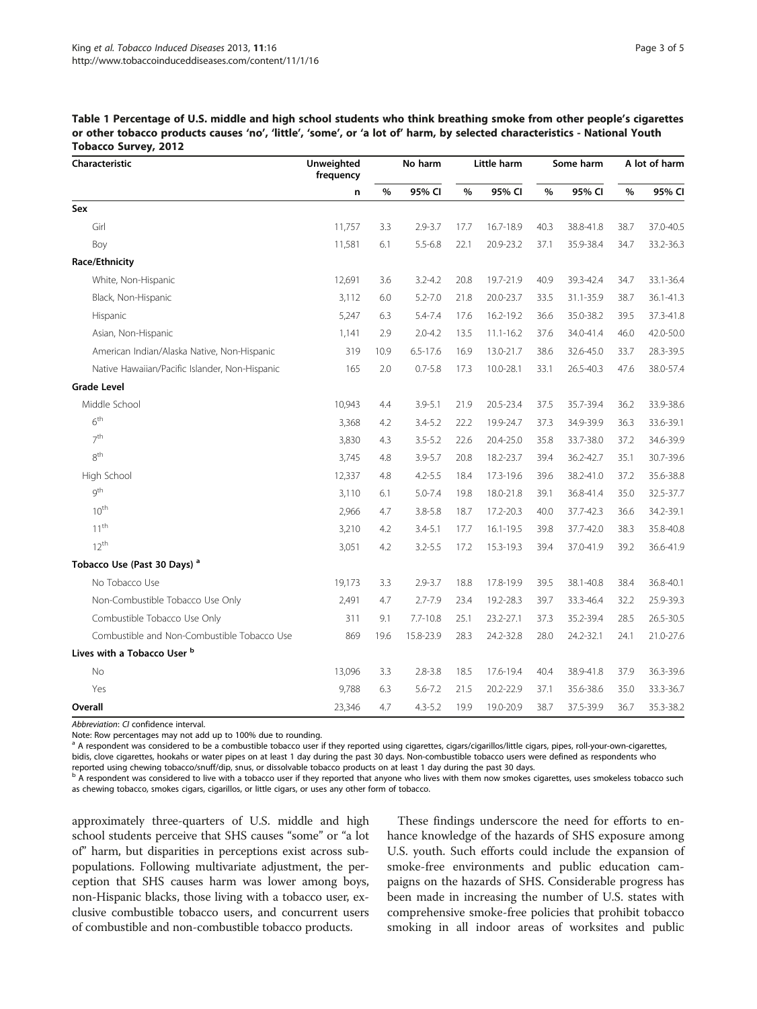<span id="page-2-0"></span>

| Table 1 Percentage of U.S. middle and high school students who think breathing smoke from other people's cigarettes       |
|---------------------------------------------------------------------------------------------------------------------------|
| or other tobacco products causes 'no', 'little', 'some', or 'a lot of' harm, by selected characteristics - National Youth |
| <b>Tobacco Survey, 2012</b>                                                                                               |

| Characteristic                                 | Unweighted<br>frequency | No harm |              | Little harm |               | Some harm |           | A lot of harm |           |
|------------------------------------------------|-------------------------|---------|--------------|-------------|---------------|-----------|-----------|---------------|-----------|
|                                                | n                       | $\%$    | 95% CI       | $\%$        | 95% CI        | $\%$      | 95% CI    | %             | 95% CI    |
| Sex                                            |                         |         |              |             |               |           |           |               |           |
| Girl                                           | 11,757                  | 3.3     | $2.9 - 3.7$  | 17.7        | 16.7-18.9     | 40.3      | 38.8-41.8 | 38.7          | 37.0-40.5 |
| Boy                                            | 11,581                  | 6.1     | $5.5 - 6.8$  | 22.1        | 20.9-23.2     | 37.1      | 35.9-38.4 | 34.7          | 33.2-36.3 |
| Race/Ethnicity                                 |                         |         |              |             |               |           |           |               |           |
| White, Non-Hispanic                            | 12,691                  | 3.6     | $3.2 - 4.2$  | 20.8        | 19.7-21.9     | 40.9      | 39.3-42.4 | 34.7          | 33.1-36.4 |
| Black, Non-Hispanic                            | 3,112                   | 6.0     | $5.2 - 7.0$  | 21.8        | 20.0-23.7     | 33.5      | 31.1-35.9 | 38.7          | 36.1-41.3 |
| Hispanic                                       | 5,247                   | 6.3     | $5.4 - 7.4$  | 17.6        | 16.2-19.2     | 36.6      | 35.0-38.2 | 39.5          | 37.3-41.8 |
| Asian, Non-Hispanic                            | 1,141                   | 2.9     | $2.0 - 4.2$  | 13.5        | $11.1 - 16.2$ | 37.6      | 34.0-41.4 | 46.0          | 42.0-50.0 |
| American Indian/Alaska Native, Non-Hispanic    | 319                     | 10.9    | $6.5 - 17.6$ | 16.9        | 13.0-21.7     | 38.6      | 32.6-45.0 | 33.7          | 28.3-39.5 |
| Native Hawaiian/Pacific Islander, Non-Hispanic | 165                     | 2.0     | $0.7 - 5.8$  | 17.3        | 10.0-28.1     | 33.1      | 26.5-40.3 | 47.6          | 38.0-57.4 |
| <b>Grade Level</b>                             |                         |         |              |             |               |           |           |               |           |
| Middle School                                  | 10,943                  | 4.4     | $3.9 - 5.1$  | 21.9        | 20.5-23.4     | 37.5      | 35.7-39.4 | 36.2          | 33.9-38.6 |
| 6 <sup>th</sup>                                | 3,368                   | 4.2     | $3.4 - 5.2$  | 22.2        | 19.9-24.7     | 37.3      | 34.9-39.9 | 36.3          | 33.6-39.1 |
| 7 <sup>th</sup>                                | 3,830                   | 4.3     | $3.5 - 5.2$  | 22.6        | 20.4-25.0     | 35.8      | 33.7-38.0 | 37.2          | 34.6-39.9 |
| 8 <sup>th</sup>                                | 3,745                   | 4.8     | $3.9 - 5.7$  | 20.8        | 18.2-23.7     | 39.4      | 36.2-42.7 | 35.1          | 30.7-39.6 |
| High School                                    | 12,337                  | 4.8     | $4.2 - 5.5$  | 18.4        | 17.3-19.6     | 39.6      | 38.2-41.0 | 37.2          | 35.6-38.8 |
| gth                                            | 3,110                   | 6.1     | $5.0 - 7.4$  | 19.8        | 18.0-21.8     | 39.1      | 36.8-41.4 | 35.0          | 32.5-37.7 |
| 10 <sup>th</sup>                               | 2,966                   | 4.7     | $3.8 - 5.8$  | 18.7        | 17.2-20.3     | 40.0      | 37.7-42.3 | 36.6          | 34.2-39.1 |
| $11^{th}$                                      | 3,210                   | 4.2     | $3.4 - 5.1$  | 17.7        | $16.1 - 19.5$ | 39.8      | 37.7-42.0 | 38.3          | 35.8-40.8 |
| $12^{th}$                                      | 3,051                   | 4.2     | $3.2 - 5.5$  | 17.2        | 15.3-19.3     | 39.4      | 37.0-41.9 | 39.2          | 36.6-41.9 |
| Tobacco Use (Past 30 Days) <sup>a</sup>        |                         |         |              |             |               |           |           |               |           |
| No Tobacco Use                                 | 19,173                  | 3.3     | $2.9 - 3.7$  | 18.8        | 17.8-19.9     | 39.5      | 38.1-40.8 | 38.4          | 36.8-40.1 |
| Non-Combustible Tobacco Use Only               | 2,491                   | 4.7     | $2.7 - 7.9$  | 23.4        | 19.2-28.3     | 39.7      | 33.3-46.4 | 32.2          | 25.9-39.3 |
| Combustible Tobacco Use Only                   | 311                     | 9.1     | $7.7 - 10.8$ | 25.1        | 23.2-27.1     | 37.3      | 35.2-39.4 | 28.5          | 26.5-30.5 |
| Combustible and Non-Combustible Tobacco Use    | 869                     | 19.6    | 15.8-23.9    | 28.3        | 24.2-32.8     | 28.0      | 24.2-32.1 | 24.1          | 21.0-27.6 |
| Lives with a Tobacco User b                    |                         |         |              |             |               |           |           |               |           |
| No                                             | 13,096                  | 3.3     | $2.8 - 3.8$  | 18.5        | 17.6-19.4     | 40.4      | 38.9-41.8 | 37.9          | 36.3-39.6 |
| Yes                                            | 9,788                   | 6.3     | $5.6 - 7.2$  | 21.5        | 20.2-22.9     | 37.1      | 35.6-38.6 | 35.0          | 33.3-36.7 |
| Overall                                        | 23,346                  | 4.7     | $4.3 - 5.2$  | 19.9        | 19.0-20.9     | 38.7      | 37.5-39.9 | 36.7          | 35.3-38.2 |

Abbreviation: CI confidence interval.

Note: Row percentages may not add up to 100% due to rounding.

<sup>a</sup> A respondent was considered to be a combustible tobacco user if they reported using cigarettes, cigars/cigarillos/little cigars, pipes, roll-your-own-cigarettes, bidis, clove cigarettes, hookahs or water pipes on at least 1 day during the past 30 days. Non-combustible tobacco users were defined as respondents who

reported using chewing tobacco/snuff/dip, snus, or dissolvable tobacco products on at least 1 day during the past 30 days.<br><sup>b</sup> A respondent was considered to live with a tobacco user if they reported that anyone who lives as chewing tobacco, smokes cigars, cigarillos, or little cigars, or uses any other form of tobacco.

approximately three-quarters of U.S. middle and high school students perceive that SHS causes "some" or "a lot of" harm, but disparities in perceptions exist across subpopulations. Following multivariate adjustment, the perception that SHS causes harm was lower among boys, non-Hispanic blacks, those living with a tobacco user, exclusive combustible tobacco users, and concurrent users of combustible and non-combustible tobacco products.

These findings underscore the need for efforts to enhance knowledge of the hazards of SHS exposure among U.S. youth. Such efforts could include the expansion of smoke-free environments and public education campaigns on the hazards of SHS. Considerable progress has been made in increasing the number of U.S. states with comprehensive smoke-free policies that prohibit tobacco smoking in all indoor areas of worksites and public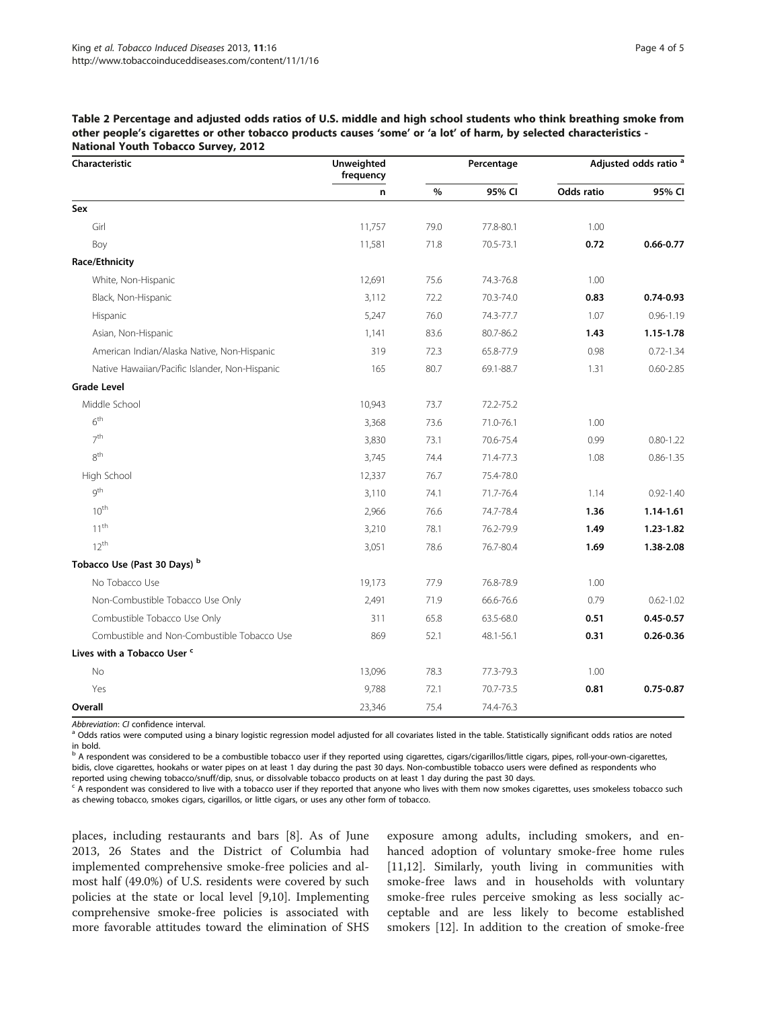<span id="page-3-0"></span>Table 2 Percentage and adjusted odds ratios of U.S. middle and high school students who think breathing smoke from other people's cigarettes or other tobacco products causes 'some' or 'a lot' of harm, by selected characteristics - National Youth Tobacco Survey, 2012

| Characteristic                                 | Unweighted<br>frequency |      | Percentage | Adjusted odds ratio <sup>a</sup> |               |  |
|------------------------------------------------|-------------------------|------|------------|----------------------------------|---------------|--|
|                                                | n                       | %    | 95% CI     | <b>Odds ratio</b>                | 95% CI        |  |
| Sex                                            |                         |      |            |                                  |               |  |
| Girl                                           | 11,757                  | 79.0 | 77.8-80.1  | 1.00                             |               |  |
| Boy                                            | 11,581                  | 71.8 | 70.5-73.1  | 0.72                             | $0.66 - 0.77$ |  |
| Race/Ethnicity                                 |                         |      |            |                                  |               |  |
| White, Non-Hispanic                            | 12,691                  | 75.6 | 74.3-76.8  | 1.00                             |               |  |
| Black, Non-Hispanic                            | 3,112                   | 72.2 | 70.3-74.0  | 0.83                             | $0.74 - 0.93$ |  |
| Hispanic                                       | 5,247                   | 76.0 | 74.3-77.7  | 1.07                             | $0.96 - 1.19$ |  |
| Asian, Non-Hispanic                            | 1,141                   | 83.6 | 80.7-86.2  | 1.43                             | 1.15-1.78     |  |
| American Indian/Alaska Native, Non-Hispanic    | 319                     | 72.3 | 65.8-77.9  | 0.98                             | $0.72 - 1.34$ |  |
| Native Hawaiian/Pacific Islander, Non-Hispanic | 165                     | 80.7 | 69.1-88.7  | 1.31                             | $0.60 - 2.85$ |  |
| <b>Grade Level</b>                             |                         |      |            |                                  |               |  |
| Middle School                                  | 10,943                  | 73.7 | 72.2-75.2  |                                  |               |  |
| 6 <sup>th</sup>                                | 3,368                   | 73.6 | 71.0-76.1  | 1.00                             |               |  |
| 7 <sup>th</sup>                                | 3,830                   | 73.1 | 70.6-75.4  | 0.99                             | $0.80 - 1.22$ |  |
| 8 <sup>th</sup>                                | 3,745                   | 74.4 | 71.4-77.3  | 1.08                             | $0.86 - 1.35$ |  |
| High School                                    | 12,337                  | 76.7 | 75.4-78.0  |                                  |               |  |
| gth                                            | 3,110                   | 74.1 | 71.7-76.4  | 1.14                             | $0.92 - 1.40$ |  |
| 10 <sup>th</sup>                               | 2,966                   | 76.6 | 74.7-78.4  | 1.36                             | 1.14-1.61     |  |
| 11 <sup>th</sup>                               | 3,210                   | 78.1 | 76.2-79.9  | 1.49                             | 1.23-1.82     |  |
| $12^{th}$                                      | 3,051                   | 78.6 | 76.7-80.4  | 1.69                             | 1.38-2.08     |  |
| Tobacco Use (Past 30 Days) b                   |                         |      |            |                                  |               |  |
| No Tobacco Use                                 | 19,173                  | 77.9 | 76.8-78.9  | 1.00                             |               |  |
| Non-Combustible Tobacco Use Only               | 2,491                   | 71.9 | 66.6-76.6  | 0.79                             | $0.62 - 1.02$ |  |
| Combustible Tobacco Use Only                   | 311                     | 65.8 | 63.5-68.0  | 0.51                             | $0.45 - 0.57$ |  |
| Combustible and Non-Combustible Tobacco Use    | 869                     | 52.1 | 48.1-56.1  | 0.31                             | $0.26 - 0.36$ |  |
| Lives with a Tobacco User <sup>c</sup>         |                         |      |            |                                  |               |  |
| N <sub>o</sub>                                 | 13,096                  | 78.3 | 77.3-79.3  | 1.00                             |               |  |
| Yes                                            | 9,788                   | 72.1 | 70.7-73.5  | 0.81                             | $0.75 - 0.87$ |  |
| Overall                                        | 23,346                  | 75.4 | 74.4-76.3  |                                  |               |  |

Abbreviation: CI confidence interval.<br><sup>a</sup> Odds ratios were computed using a binary logistic regression model adjusted for all covariates listed in the table. Statistically significant odds ratios are noted in bold.

<sup>b</sup> A respondent was considered to be a combustible tobacco user if they reported using cigarettes, cigars/cigarillos/little cigars, pipes, roll-your-own-cigarettes, bidis, clove cigarettes, hookahs or water pipes on at least 1 day during the past 30 days. Non-combustible tobacco users were defined as respondents who

reported using chewing tobacco/snuff/dip, snus, or dissolvable tobacco products on at least 1 day during the past 30 days.

<sup>c</sup> A respondent was considered to live with a tobacco user if they reported that anyone who lives with them now smokes cigarettes, uses smokeless tobacco such as chewing tobacco, smokes cigars, cigarillos, or little cigars, or uses any other form of tobacco.

places, including restaurants and bars [[8\]](#page-4-0). As of June 2013, 26 States and the District of Columbia had implemented comprehensive smoke-free policies and almost half (49.0%) of U.S. residents were covered by such policies at the state or local level [[9](#page-4-0),[10](#page-4-0)]. Implementing comprehensive smoke-free policies is associated with more favorable attitudes toward the elimination of SHS

exposure among adults, including smokers, and enhanced adoption of voluntary smoke-free home rules [[11,12\]](#page-4-0). Similarly, youth living in communities with smoke-free laws and in households with voluntary smoke-free rules perceive smoking as less socially acceptable and are less likely to become established smokers [[12\]](#page-4-0). In addition to the creation of smoke-free